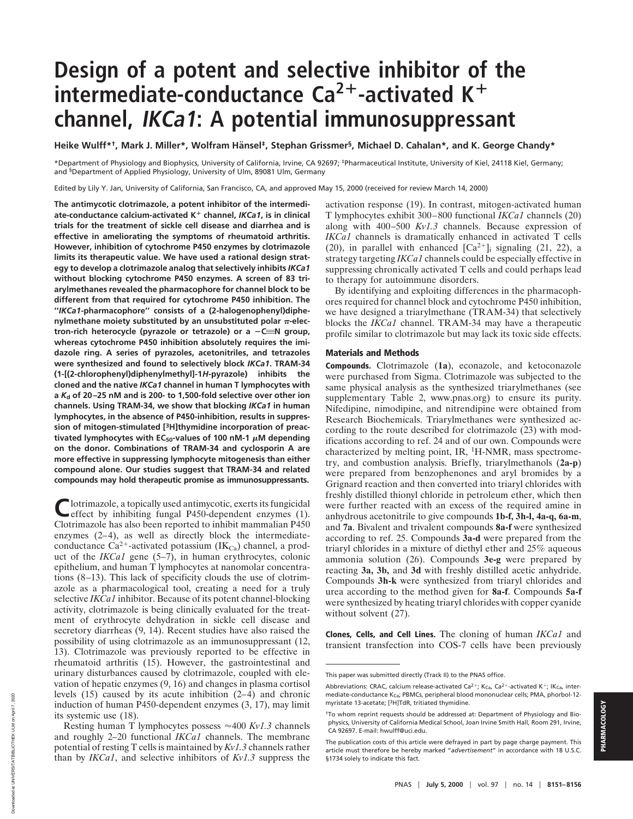## **Design of a potent and selective inhibitor of the intermediate-conductance Ca<sup>2+</sup>-activated K<sup>+</sup> channel, IKCa1: A potential immunosuppressant**

Heike Wulff<sup>\*†</sup>, Mark J. Miller\*, Wolfram Hänsel<sup>‡</sup>, Stephan Grissmer<sup>§</sup>, Michael D. Cahalan\*, and K. George Chandy\*

\*Department of Physiology and Biophysics, University of California, Irvine, CA 92697; ‡Pharmaceutical Institute, University of Kiel, 24118 Kiel, Germany; and §Department of Applied Physiology, University of Ulm, 89081 Ulm, Germany

Edited by Lily Y. Jan, University of California, San Francisco, CA, and approved May 15, 2000 (received for review March 14, 2000)

**The antimycotic clotrimazole, a potent inhibitor of the intermediate-conductance calcium-activated K**<sup>1</sup> **channel,** *IKCa1***, is in clinical trials for the treatment of sickle cell disease and diarrhea and is effective in ameliorating the symptoms of rheumatoid arthritis. However, inhibition of cytochrome P450 enzymes by clotrimazole limits its therapeutic value. We have used a rational design strategy to develop a clotrimazole analog that selectively inhibits** *IKCa1* **without blocking cytochrome P450 enzymes. A screen of 83 triarylmethanes revealed the pharmacophore for channel block to be different from that required for cytochrome P450 inhibition. The ''***IKCa1***-pharmacophore'' consists of a (2-halogenophenyl)diphe**nylmethane moiety substituted by an unsubstituted polar  $\pi$ -elec*tron-rich heterocycle (pyrazole or tetrazole) or a −C≡N group,* **whereas cytochrome P450 inhibition absolutely requires the imidazole ring. A series of pyrazoles, acetonitriles, and tetrazoles were synthesized and found to selectively block** *IKCa1***. TRAM-34 (1-[(2-chlorophenyl)diphenylmethyl]-1***H***-pyrazole) inhibits the cloned and the native** *IKCa1* **channel in human T lymphocytes with a** *K***d of 20–25 nM and is 200- to 1,500-fold selective over other ion channels. Using TRAM-34, we show that blocking** *IKCa1* **in human lymphocytes, in the absence of P450-inhibition, results in suppression of mitogen-stimulated [3H]thymidine incorporation of preac**tivated lymphocytes with EC<sub>50</sub>-values of 100 nM-1  $\mu$ M depending **on the donor. Combinations of TRAM-34 and cyclosporin A are more effective in suppressing lymphocyte mitogenesis than either compound alone. Our studies suggest that TRAM-34 and related compounds may hold therapeutic promise as immunosuppressants.**

Clotrimazole, a topically used antimycotic, exerts its fungicidal effect by inhibiting fungal P450-dependent enzymes (1). Clotrimazole has also been reported to inhibit mammalian P450 enzymes (2–4), as well as directly block the intermediateconductance  $Ca^{2+}$ -activated potassium (IK $_{Ca}$ ) channel, a product of the *IKCa1* gene (5–7), in human erythrocytes, colonic epithelium, and human T lymphocytes at nanomolar concentrations (8–13). This lack of specificity clouds the use of clotrimazole as a pharmacological tool, creating a need for a truly selective *IKCa1* inhibitor. Because of its potent channel-blocking activity, clotrimazole is being clinically evaluated for the treatment of erythrocyte dehydration in sickle cell disease and secretory diarrheas  $(9, 14)$ . Recent studies have also raised the possibility of using clotrimazole as an immunosuppressant (12, 13). Clotrimazole was previously reported to be effective in rheumatoid arthritis (15). However, the gastrointestinal and urinary disturbances caused by clotrimazole, coupled with elevation of hepatic enzymes (9, 16) and changes in plasma cortisol levels (15) caused by its acute inhibition (2–4) and chronic induction of human P450-dependent enzymes (3, 17), may limit its systemic use (18).

Resting human T lymphocytes possess  $\approx$  400 *Kv1.3* channels and roughly 2–20 functional *IKCa1* channels. The membrane potential of resting T cells is maintained by *Kv1.3* channels rather than by *IKCa1*, and selective inhibitors of *Kv1.3* suppress the

Downloaded at UNIVERSITATBIBLIOTHEK ULM on April 7, 2020

Moaded at UNIVERSITA TBIBLIOTHEK ULM on April 7.

2020

activation response (19). In contrast, mitogen-activated human T lymphocytes exhibit 300–800 functional *IKCa1* channels (20) along with 400–500 *Kv1.3* channels. Because expression of *IKCa1* channels is dramatically enhanced in activated T cells (20), in parallel with enhanced  $[Ca^{2+}]$ ; signaling (21, 22), a strategy targeting *IKCa1* channels could be especially effective in suppressing chronically activated T cells and could perhaps lead to therapy for autoimmune disorders.

By identifying and exploiting differences in the pharmacophores required for channel block and cytochrome P450 inhibition, we have designed a triarylmethane (TRAM-34) that selectively blocks the *IKCa1* channel. TRAM-34 may have a therapeutic profile similar to clotrimazole but may lack its toxic side effects.

## **Materials and Methods**

**Compounds.** Clotrimazole (**1a**), econazole, and ketoconazole were purchased from Sigma. Clotrimazole was subjected to the same physical analysis as the synthesized triarylmethanes (see supplementary Table 2, www.pnas.org) to ensure its purity. Nifedipine, nimodipine, and nitrendipine were obtained from Research Biochemicals. Triarylmethanes were synthesized according to the route described for clotrimazole (23) with modifications according to ref. 24 and of our own. Compounds were characterized by melting point, IR, <sup>1</sup>H-NMR, mass spectrometry, and combustion analysis. Briefly, triarylmethanols (**2a-p**) were prepared from benzophenones and aryl bromides by a Grignard reaction and then converted into triaryl chlorides with freshly distilled thionyl chloride in petroleum ether, which then were further reacted with an excess of the required amine in anhydrous acetonitrile to give compounds **1b-f, 3h-l, 4a-q, 6a-m**, and **7a**. Bivalent and trivalent compounds **8a-f** were synthesized according to ref. 25. Compounds **3a-d** were prepared from the triaryl chlorides in a mixture of diethyl ether and 25% aqueous ammonia solution (26). Compounds **3e-g** were prepared by reacting **3a, 3b,** and **3d** with freshly distilled acetic anhydride. Compounds **3h-k** were synthesized from triaryl chlorides and urea according to the method given for **8a-f**. Compounds **5a-f** were synthesized by heating triaryl chlorides with copper cyanide without solvent (27).

**Clones, Cells, and Cell Lines.** The cloning of human *IKCa1* and transient transfection into COS-7 cells have been previously

This paper was submitted directly (Track II) to the PNAS office.

Abbreviations: CRAC, calcium release-activated Ca<sup>2+</sup>; K<sub>Ca</sub>, Ca<sup>2+</sup>-activated K<sup>+</sup>; IK<sub>Ca</sub>, intermediate-conductance K<sub>Ca</sub>; PBMCs, peripheral blood mononuclear cells; PMA, phorbol-12myristate 13-acetate; [3H]TdR, tritiated thymidine.

<sup>†</sup>To whom reprint requests should be addressed at: Department of Physiology and Biophysics, University of California Medical School, Joan Irvine Smith Hall, Room 291, Irvine, CA 92697. E-mail: hwulff@uci.edu.

The publication costs of this article were defrayed in part by page charge payment. This article must therefore be hereby marked "*advertisement*" in accordance with 18 U.S.C. §1734 solely to indicate this fact.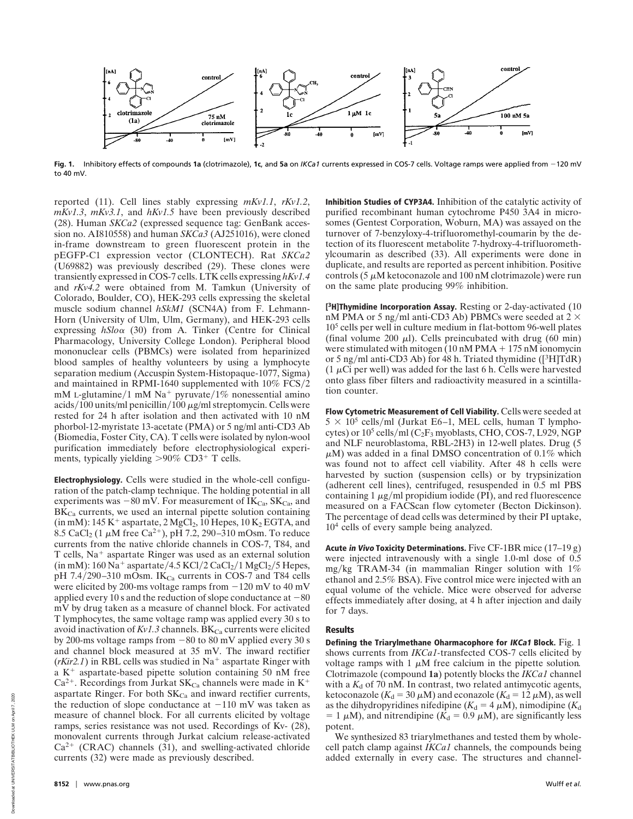

**Fig. 1.** Inhibitory effects of compounds **1a** (clotrimazole), **1c**, and **5a** on *IKCa1* currents expressed in COS-7 cells. Voltage ramps were applied from 2120 mV to 40 mV.

reported (11). Cell lines stably expressing *mKv1.1*, *rKv1.2*, *mKv1.3*, *mKv3.1*, and *hKv1.5* have been previously described (28). Human *SKCa2* (expressed sequence tag: GenBank accession no. AI810558) and human *SKCa3* (AJ251016), were cloned in-frame downstream to green fluorescent protein in the pEGFP-C1 expression vector (CLONTECH). Rat *SKCa2* (U69882) was previously described (29). These clones were transiently expressed in COS-7 cells. LTK cells expressing *hKv1.4* and *rKv4.2* were obtained from M. Tamkun (University of Colorado, Boulder, CO), HEK-293 cells expressing the skeletal muscle sodium channel *hSkM1* (SCN4A) from F. Lehmann-Horn (University of Ulm, Ulm, Germany), and HEK-293 cells expressing *hSlo*<sup>a</sup> (30) from A. Tinker (Centre for Clinical Pharmacology, University College London). Peripheral blood mononuclear cells (PBMCs) were isolated from heparinized blood samples of healthy volunteers by using a lymphocyte separation medium (Accuspin System-Histopaque-1077, Sigma) and maintained in RPMI-1640 supplemented with  $10\%$  FCS/2 mM L-glutamine/1 mM Na<sup>+</sup> pyruvate/1% nonessential amino acids/100 units/ml penicillin/100  $\mu$ g/ml streptomycin. Cells were rested for 24 h after isolation and then activated with 10 nM phorbol-12-myristate 13-acetate (PMA) or 5 ng/ml anti-CD3 Ab (Biomedia, Foster City, CA). T cells were isolated by nylon-wool purification immediately before electrophysiological experiments, typically yielding  $>90\%$  CD3<sup>+</sup> T cells.

**Electrophysiology.** Cells were studied in the whole-cell configuration of the patch-clamp technique. The holding potential in all experiments was  $-80$  mV. For measurement of IK<sub>Ca</sub>, SK<sub>Ca</sub>, and  $BK<sub>Ca</sub>$  currents, we used an internal pipette solution containing (in mM):  $145 \text{ K}^+$  aspartate,  $2 \text{ MgCl}_2$ ,  $10 \text{Hepes}$ ,  $10 \text{ K}_2 \text{EGTA}$ , and 8.5 CaCl<sub>2</sub> (1  $\mu$ M free Ca<sup>2+</sup>), pH 7.2, 290–310 mOsm. To reduce currents from the native chloride channels in COS-7, T84, and T cells, Na<sup>+</sup> aspartate Ringer was used as an external solution (in mM):  $160$  Na<sup>+</sup> aspartate/4.5 KCl/2 CaCl<sub>2</sub>/1 MgCl<sub>2</sub>/5 Hepes, pH 7.4/290–310 mOsm. IK $_{Ca}$  currents in COS-7 and T84 cells were elicited by 200-ms voltage ramps from  $-120$  mV to 40 mV applied every 10 s and the reduction of slope conductance at  $-80$ mV by drug taken as a measure of channel block. For activated T lymphocytes, the same voltage ramp was applied every 30 s to avoid inactivation of  $Kv1.3$  channels. BK<sub>Ca</sub> currents were elicited by 200-ms voltage ramps from  $-80$  to 80 mV applied every 30 s and channel block measured at 35 mV. The inward rectifier  $(r\text{Kir2.1})$  in RBL cells was studied in Na<sup>+</sup> aspartate Ringer with a  $K^+$  aspartate-based pipette solution containing 50 nM free  $Ca^{2+}$ . Recordings from Jurkat SK<sub>Ca</sub> channels were made in K<sup>+</sup> aspartate Ringer. For both  $SK_{Ca}$  and inward rectifier currents, the reduction of slope conductance at  $-110$  mV was taken as measure of channel block. For all currents elicited by voltage ramps, series resistance was not used. Recordings of Kv- (28), monovalent currents through Jurkat calcium release-activated  $Ca<sup>2+</sup>$  (CRAC) channels (31), and swelling-activated chloride currents (32) were made as previously described.

**Inhibition Studies of CYP3A4.** Inhibition of the catalytic activity of purified recombinant human cytochrome P450 3A4 in microsomes (Gentest Corporation, Woburn, MA) was assayed on the turnover of 7-benzyloxy-4-trifluoromethyl-coumarin by the detection of its fluorescent metabolite 7-hydroxy-4-trifluoromethylcoumarin as described (33). All experiments were done in duplicate, and results are reported as percent inhibition. Positive controls  $(5 \mu M$  ketoconazole and 100 nM clotrimazole) were run on the same plate producing 99% inhibition.

**[3H]Thymidine Incorporation Assay.** Resting or 2-day-activated (10 nM PMA or 5 ng/ml anti-CD3 Ab) PBMCs were seeded at  $2 \times$ 10<sup>5</sup> cells per well in culture medium in flat-bottom 96-well plates (final volume 200  $\mu$ l). Cells preincubated with drug (60 min) were stimulated with mitogen  $(10 \text{ nM PMA} + 175 \text{ nM}$  ionomycin or 5 ng/ml anti-CD3 Ab) for 48 h. Triated thymidine  $($ [ $3$ H]TdR)  $(1 \mu)$ Ci per well) was added for the last 6 h. Cells were harvested onto glass fiber filters and radioactivity measured in a scintillation counter.

**Flow Cytometric Measurement of Cell Viability.** Cells were seeded at  $5 \times 10^5$  cells/ml (Jurkat E6–1, MEL cells, human T lymphocytes) or  $10^5$  cells/ml (C<sub>2</sub>F<sub>3</sub> myoblasts, CHO, COS-7, L929, NGP and NLF neuroblastoma, RBL-2H3) in 12-well plates. Drug (5  $\mu$ M) was added in a final DMSO concentration of 0.1% which was found not to affect cell viability. After 48 h cells were harvested by suction (suspension cells) or by trypsinization (adherent cell lines), centrifuged, resuspended in 0.5 ml PBS containing  $1 \mu g/ml$  propidium iodide (PI), and red fluorescence measured on a FACScan flow cytometer (Becton Dickinson). The percentage of dead cells was determined by their PI uptake, 10<sup>4</sup> cells of every sample being analyzed.

**Acute in Vivo Toxicity Determinations.** Five CF-1BR mice (17–19 g) were injected intravenously with a single 1.0-ml dose of 0.5 mg/kg TRAM-34 (in mammalian Ringer solution with  $1\%$ ethanol and 2.5% BSA). Five control mice were injected with an equal volume of the vehicle. Mice were observed for adverse effects immediately after dosing, at 4 h after injection and daily for 7 days.

## **Results**

**Defining the Triarylmethane Oharmacophore for IKCa1 Block.** Fig. 1 shows currents from *IKCa1-*transfected COS-7 cells elicited by voltage ramps with 1  $\mu$ M free calcium in the pipette solution. Clotrimazole (compound **1a**) potently blocks the *IKCa1* channel with a  $K_d$  of 70 nM. In contrast, two related antimycotic agents, ketoconazole ( $K_d = 30 \mu M$ ) and econazole ( $K_d = 12 \mu M$ ), as well as the dihydropyridines nifedipine ( $K_d = 4 \mu M$ ), nimodipine ( $K_d$  $= 1 \mu M$ ), and nitrendipine ( $K_d = 0.9 \mu M$ ), are significantly less potent.

We synthesized 83 triarylmethanes and tested them by wholecell patch clamp against *IKCa1* channels, the compounds being added externally in every case. The structures and channel-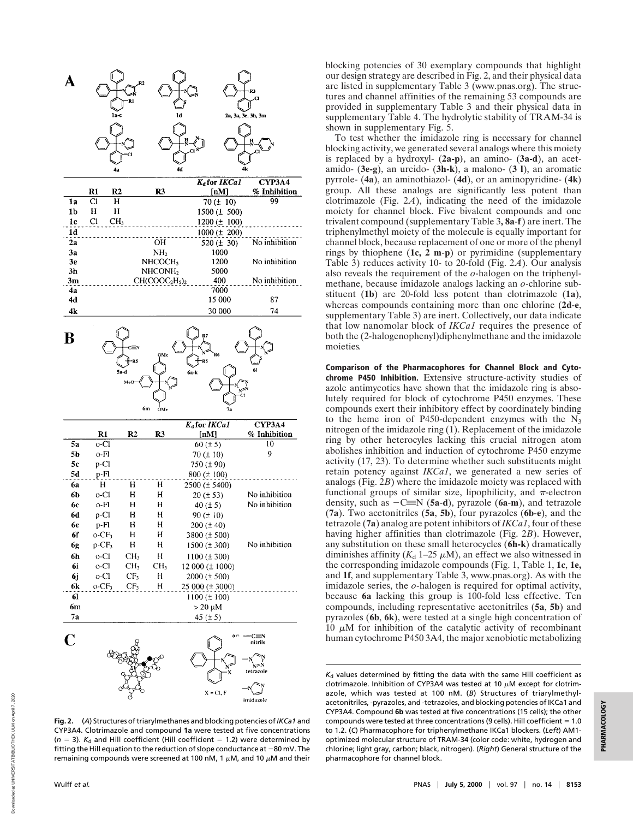

**Fig. 2.** (*A*) Structures of triarylmethanes and blocking potencies of*IKCa1* and CYP3A4. Clotrimazole and compound **1a** were tested at five concentrations  $(n = 3)$ .  $K_d$  and Hill coefficient (Hill coefficient = 1.2) were determined by fitting the Hill equation to the reduction of slope conductance at  $-80$  mV. The remaining compounds were screened at 100 nM, 1  $\mu$ M, and 10  $\mu$ M and their

blocking potencies of 30 exemplary compounds that highlight our design strategy are described in Fig. 2, and their physical data are listed in supplementary Table 3 (www.pnas.org). The structures and channel affinities of the remaining 53 compounds are provided in supplementary Table 3 and their physical data in supplementary Table 4. The hydrolytic stability of TRAM-34 is shown in supplementary Fig. 5.

To test whether the imidazole ring is necessary for channel blocking activity, we generated several analogs where this moiety is replaced by a hydroxyl- (**2a-p)**, an amino- (**3a-d**), an acetamido- (**3e-g**), an ureido- (**3h-k**), a malono- (**3 l**), an aromatic pyrrole- (**4a**), an aminothiazol- (**4d**), or an aminopyridine- (**4k**) group. All these analogs are significantly less potent than clotrimazole (Fig. 2*A*), indicating the need of the imidazole moiety for channel block. Five bivalent compounds and one trivalent compound (supplementary Table 3**, 8a**-**f**) are inert. The triphenylmethyl moiety of the molecule is equally important for channel block, because replacement of one or more of the phenyl rings by thiophene (**1c, 2 m**-**p**) or pyrimidine (supplementary Table 3) reduces activity 10- to 20-fold (Fig. 2*A*). Our analysis also reveals the requirement of the *o*-halogen on the triphenylmethane, because imidazole analogs lacking an *o*-chlorine substituent (**1b**) are 20-fold less potent than clotrimazole (**1a**), whereas compounds containing more than one chlorine (**2d**-**e**, supplementary Table 3) are inert. Collectively, our data indicate that low nanomolar block of *IKCa1* requires the presence of both the (2-halogenophenyl)diphenylmethane and the imidazole moieties*.*

**Comparison of the Pharmacophores for Channel Block and Cytochrome P450 Inhibition.** Extensive structure-activity studies of azole antimycotics have shown that the imidazole ring is absolutely required for block of cytochrome P450 enzymes. These compounds exert their inhibitory effect by coordinately binding to the heme iron of P450-dependent enzymes with the  $N_3$ nitrogen of the imidazole ring (1). Replacement of the imidazole ring by other heterocyles lacking this crucial nitrogen atom abolishes inhibition and induction of cytochrome P450 enzyme activity (17, 23). To determine whether such substituents might retain potency against *IKCa1*, we generated a new series of analogs (Fig. 2*B*) where the imidazole moiety was replaced with functional groups of similar size, lipophilicity, and  $\pi$ -electron density, such as  $-C\equiv N(5a-d)$ , pyrazole (6a-m), and tetrazole (**7a**). Two acetonitriles (**5a**, **5b**), four pyrazoles (**6b**-**e**), and the tetrazole (**7a**) analog are potent inhibitors of *IKCa1*, four of these having higher affinities than clotrimazole (Fig. 2*B*). However, any substitution on these small heterocycles (**6h-k**) dramatically diminishes affinity  $(K_d 1-25 \mu M)$ , an effect we also witnessed in the corresponding imidazole compounds (Fig. 1, Table 1, **1c**, **1e,** and **1f**, and supplementary Table 3, www.pnas.org). As with the imidazole series, the *o*-halogen is required for optimal activity, because **6a** lacking this group is 100-fold less effective. Ten compounds, including representative acetonitriles (**5a**, **5b**) and pyrazoles (**6b**, **6k**), were tested at a single high concentration of  $10 \mu$ M for inhibition of the catalytic activity of recombinant human cytochrome P450 3A4, the major xenobiotic metabolizing

*K*<sup>d</sup> values determined by fitting the data with the same Hill coefficient as clotrimazole. Inhibition of CYP3A4 was tested at 10  $\mu$ M except for clotrimazole, which was tested at 100 nM. (*B*) Structures of triarylmethylacetonitriles, -pyrazoles, and -tetrazoles, and blocking potencies of IKCa1 and CYP3A4. Compound **6b** was tested at five concentrations (15 cells); the other compounds were tested at three concentrations (9 cells). Hill coefficient =  $1.0$ to 1.2. (*C*) Pharmacophore for triphenylmethane IKCa1 blockers. (*Left*) AM1 optimized molecular structure of TRAM-34 (color code: white, hydrogen and chlorine; light gray, carbon; black, nitrogen). (*Right*) General structure of the pharmacophore for channel block.

Downloaded at UNIVERSITATBIBLIOTHEK ULM on April 7, 2020

hoaded at UNIVERSITATBIBLIOTHEK ULM on April 7.

Down

2020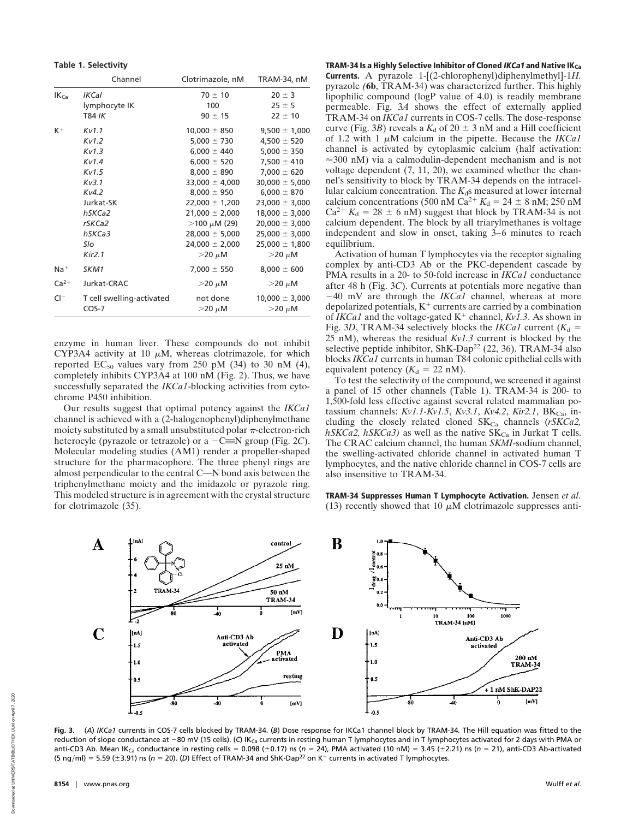| Table 1. Selectivity |  |  |  |  |
|----------------------|--|--|--|--|
|----------------------|--|--|--|--|

|           | Channel                   | Clotrimazole, nM     | TRAM-34, nM        |
|-----------|---------------------------|----------------------|--------------------|
| $IK_{Ca}$ | <b>IKCal</b>              | $70 \pm 10$          | $20 \pm 3$         |
|           | lymphocyte IK             | 100                  | $25 \pm 5$         |
|           | T84 IK                    | $90 \pm 15$          | $22 \pm 10$        |
| $K^+$     | Kv1.1                     | $10,000 \pm 850$     | $9,500 \pm 1,000$  |
|           | Kv1.2                     | $5,000 \pm 730$      | 4,500 $\pm$ 520    |
|           | Kv1.3                     | $6,000 \pm 440$      | 5,000 $\pm$ 350    |
|           | Kv1.4                     | $6,000 \pm 520$      | $7,500 \pm 410$    |
|           | Kv1.5                     | $8,000 \pm 890$      | $7,000 \pm 620$    |
|           | Kv3.1                     | $33,000 \pm 4,000$   | $30,000 \pm 5,000$ |
|           | Kv4.2                     | $8,000 \pm 950$      | $6,000 \pm 870$    |
|           | Jurkat-SK                 | $22,000 \pm 1,200$   | $23,000 \pm 3,000$ |
|           | hSKCa2                    | $21,000 \pm 2,000$   | $18,000 \pm 3,000$ |
|           | rSKCa2                    | $>$ 100 $\mu$ M (29) | $20,000 \pm 3,000$ |
|           | hSKCa3                    | $28,000 \pm 5,000$   | $25,000 \pm 3,000$ |
|           | Slo                       | $24,000 \pm 2,000$   | $25,000 \pm 1,800$ |
|           | Kir2.1                    | $>$ 20 $\mu$ M       | $>$ 20 $\mu$ M     |
| $Na+$     | SKM1                      | $7,000 \pm 550$      | $8,000 \pm 600$    |
| $Ca2+$    | Jurkat-CRAC               | $>$ 20 $\mu$ M       | $>$ 20 $\mu$ M     |
| $Cl^-$    | T cell swelling-activated | not done             | $10,000 \pm 3,000$ |
|           | $COS-7$                   | $>$ 20 $\mu$ M       | $>$ 20 $\mu$ M     |

enzyme in human liver. These compounds do not inhibit CYP3A4 activity at 10  $\mu$ M, whereas clotrimazole, for which reported EC<sub>50</sub> values vary from 250 pM (34) to 30 nM (4), completely inhibits CYP3A4 at 100 nM (Fig. 2). Thus, we have successfully separated the *IKCa1*-blocking activities from cytochrome P450 inhibition.

Our results suggest that optimal potency against the *IKCa1* channel is achieved with a (2-halogenophenyl)diphenylmethane moiety substituted by a small unsubstituted polar  $\pi$ -electron-rich heterocyle (pyrazole or tetrazole) or a  $-C \equiv N$  group (Fig. 2*C*). Molecular modeling studies (AM1) render a propeller-shaped structure for the pharmacophore. The three phenyl rings are almost perpendicular to the central C-N bond axis between the triphenylmethane moiety and the imidazole or pyrazole ring. This modeled structure is in agreement with the crystal structure for clotrimazole (35).

**TRAM-34 Is a Highly Selective Inhibitor of Cloned IKCa1 and Native IKCa Currents.** A pyrazole 1-[(2-chlorophenyl)diphenylmethyl]-1*H.* pyrazole *(***6b**, TRAM-34) was characterized further. This highly lipophilic compound (logP value of 4.0) is readily membrane permeable. Fig. 3*A* shows the effect of externally applied TRAM-34 on *IKCa1* currents in COS-7 cells. The dose-response curve (Fig. 3*B*) reveals a  $K_d$  of 20  $\pm$  3 nM and a Hill coefficient of 1.2 with 1  $\mu$ M calcium in the pipette. Because the *IKCa1* channel is activated by cytoplasmic calcium (half activation:  $\approx$ 300 nM) via a calmodulin-dependent mechanism and is not voltage dependent (7, 11, 20), we examined whether the channel's sensitivity to block by TRAM-34 depends on the intracellular calcium concentration. The  $K_d$ s measured at lower internal calcium concentrations (500 nM Ca<sup>2+</sup>  $K_d = 24 \pm 8$  nM; 250 nM  $Ca^{2+} K_d = 28 \pm 6$  nM) suggest that block by TRAM-34 is not calcium dependent. The block by all triarylmethanes is voltage independent and slow in onset, taking 3–6 minutes to reach equilibrium.

Activation of human T lymphocytes via the receptor signaling complex by anti-CD3 Ab or the PKC-dependent cascade by PMA results in a 20- to 50-fold increase in *IKCa1* conductance after 48 h (Fig. 3*C*). Currents at potentials more negative than  $-40$  mV are through the *IKCa1* channel, whereas at more depolarized potentials,  $K^+$  currents are carried by a combination of *IKCa1* and the voltage-gated  $K^+$  channel,  $Kv1.3$ . As shown in Fig. 3D, TRAM-34 selectively blocks the *IKCa1* current  $(K_d =$ 25 nM), whereas the residual *Kv1.3* current is blocked by the selective peptide inhibitor, ShK-Dap<sup>22</sup> (22, 36). TRAM-34 also blocks *IKCa1* currents in human T84 colonic epithelial cells with equivalent potency  $(K_d = 22 \text{ nM}).$ 

To test the selectivity of the compound, we screened it against a panel of 15 other channels (Table 1). TRAM-34 is 200- to 1,500-fold less effective against several related mammalian potassium channels: *Kv1.1-Kv1.5*, *Kv3.1*, *Kv4.2*, *Kir2.1*, BK<sub>Ca</sub>, including the closely related cloned SK<sub>Ca</sub> channels (*rSKCa2*,  $hSKCa2, hSKCa3$ ) as well as the native  $SK_{Ca}$  in Jurkat T cells. The CRAC calcium channel, the human *SKMI*-sodium channel, the swelling-activated chloride channel in activated human T lymphocytes, and the native chloride channel in COS-7 cells are also insensitive to TRAM-34.

**TRAM-34 Suppresses Human T Lymphocyte Activation.** Jensen *et al.* (13) recently showed that 10  $\mu$ M clotrimazole suppresses anti-



**Fig. 3.** (*A*) *IKCa1* currents in COS-7 cells blocked by TRAM-34. (*B*) Dose response for IKCa1 channel block by TRAM-34*.* The Hill equation was fitted to the reduction of slope conductance at -80 mV (15 cells). (C) IK<sub>Ca</sub> currents in resting human T lymphocytes and in T lymphocytes activated for 2 days with PMA or anti-CD3 Ab. Mean IK<sub>Ca</sub> conductance in resting cells = 0.098 (±0.17) ns ( $n = 24$ ), PMA activated (10 nM) = 3.45 (±2.21) ns ( $n = 21$ ), anti-CD3 Ab-activated (5 ng/ml) = 5.59 ( $\pm$ 3.91) ns ( $n = 20$ ). (D) Effect of TRAM-34 and ShK-Dap<sup>22</sup> on K<sup>+</sup> currents in activated T lymphocytes.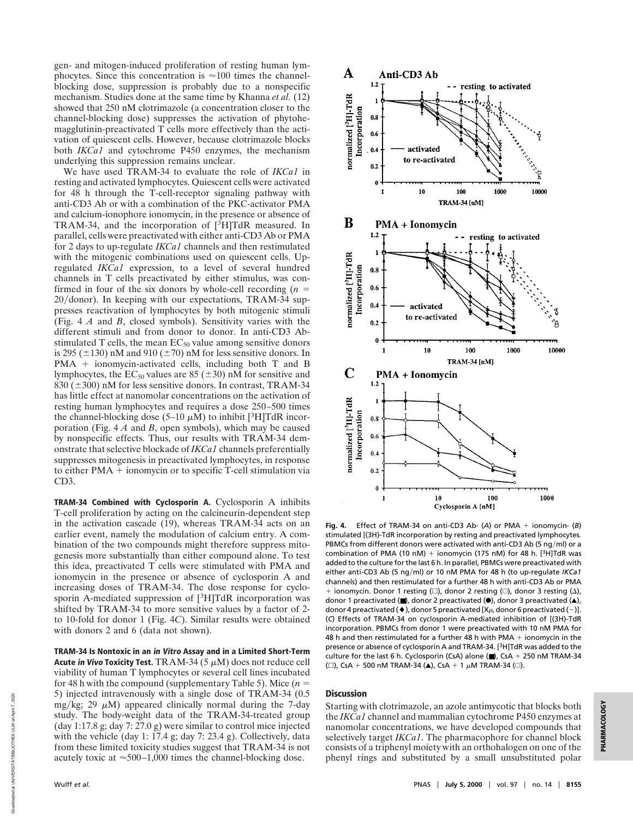gen- and mitogen-induced proliferation of resting human lymphocytes. Since this concentration is  $\approx 100$  times the channelblocking dose, suppression is probably due to a nonspecific mechanism. Studies done at the same time by Khanna *et al.* (12) showed that 250 nM clotrimazole (a concentration closer to the channel-blocking dose) suppresses the activation of phytohemagglutinin-preactivated T cells more effectively than the activation of quiescent cells. However, because clotrimazole blocks both *IKCa1* and cytochrome P450 enzymes, the mechanism underlying this suppression remains unclear.

We have used TRAM-34 to evaluate the role of *IKCa1* in resting and activated lymphocytes. Quiescent cells were activated for 48 h through the T-cell-receptor signaling pathway with anti-CD3 Ab or with a combination of the PKC-activator PMA and calcium-ionophore ionomycin, in the presence or absence of TRAM-34, and the incorporation of [3H]TdR measured. In parallel, cells were preactivated with either anti-CD3 Ab or PMA for 2 days to up-regulate *IKCa1* channels and then restimulated with the mitogenic combinations used on quiescent cells. Upregulated *IKCa1* expression, to a level of several hundred channels in T cells preactivated by either stimulus, was confirmed in four of the six donors by whole-cell recording  $(n =$ 20/donor). In keeping with our expectations, TRAM-34 suppresses reactivation of lymphocytes by both mitogenic stimuli (Fig. 4 *A* and *B*, closed symbols). Sensitivity varies with the different stimuli and from donor to donor. In anti-CD3 Abstimulated T cells, the mean  $EC_{50}$  value among sensitive donors is 295 ( $\pm$ 130) nM and 910 ( $\pm$ 70) nM for less sensitive donors. In  $PMA$  + ionomycin-activated cells, including both T and B lymphocytes, the  $EC_{50}$  values are 85 ( $\pm$ 30) nM for sensitive and 830 ( $\pm$ 300) nM for less sensitive donors. In contrast, TRAM-34 has little effect at nanomolar concentrations on the activation of resting human lymphocytes and requires a dose 250–500 times the channel-blocking dose (5–10  $\mu$ M) to inhibit [<sup>3</sup>H]TdR incorporation (Fig. 4 *A* and *B*, open symbols), which may be caused by nonspecific effects. Thus, our results with TRAM-34 demonstrate that selective blockade of *IKCa1* channels preferentially suppresses mitogenesis in preactivated lymphocytes, in response to either  $PMA$  + ionomycin or to specific T-cell stimulation via CD3.

**TRAM-34 Combined with Cyclosporin A.** Cyclosporin A inhibits T-cell proliferation by acting on the calcineurin-dependent step in the activation cascade (19), whereas TRAM-34 acts on an earlier event, namely the modulation of calcium entry. A combination of the two compounds might therefore suppress mitogenesis more substantially than either compound alone. To test this idea, preactivated T cells were stimulated with PMA and ionomycin in the presence or absence of cyclosporin A and increasing doses of TRAM-34. The dose response for cyclosporin A-mediated suppression of [3H]TdR incorporation was shifted by TRAM-34 to more sensitive values by a factor of 2 to 10-fold for donor 1 (Fig. 4*C*). Similar results were obtained with donors 2 and 6 (data not shown).

**TRAM-34 Is Nontoxic in an in Vitro Assay and in a Limited Short-Term Acute in Vivo Toxicity Test.** TRAM-34 (5  $\mu$ M) does not reduce cell viability of human T lymphocytes or several cell lines incubated for 48 h with the compound (supplementary Table 5). Mice  $(n =$ 5) injected intravenously with a single dose of TRAM-34 (0.5 mg/kg; 29  $\mu$ M) appeared clinically normal during the 7-day study. The body-weight data of the TRAM-34-treated group (day 1:17.8 g; day 7: 27.0 g) were similar to control mice injected with the vehicle (day 1: 17.4 g; day 7: 23.4 g). Collectively, data from these limited toxicity studies suggest that TRAM-34 is not acutely toxic at  $\approx$  500–1,000 times the channel-blocking dose.



Fig. 4. Effect of TRAM-34 on anti-CD3 Ab- (A) or PMA + ionomycin- (B) stimulated [(3H)-TdR incorporation by resting and preactivated lymphocytes*.* PBMCs from different donors were activated with anti-CD3 Ab (5 ng/ml) or a combination of PMA (10 nM) + ionomycin (175 nM) for 48 h.  $[3H]$ TdR was added to the culture for the last 6 h. In parallel, PBMCs were preactivated with either anti-CD3 Ab (5 ng/ml) or 10 nM PMA for 48 h (to up-regulate *IKCa1* channels) and then restimulated for a further 48 h with anti-CD3 Ab or PMA + ionomycin. Donor 1 resting  $(\square)$ , donor 2 resting  $(\bigcirc)$ , donor 3 resting  $(\Delta)$ , donor 1 preactivated (■), donor 2 preactivated (●), donor 3 preactivated (▲), donor 4 preactivated ( $\blacklozenge$ ), donor 5 preactivated [X $\rho$ , donor 6 preactivated (-)]. (*C*) Effects of TRAM-34 on cyclosporin A-mediated inhibition of [(3H)-TdR incorporation*.* PBMCs from donor 1 were preactivated with 10 nM PMA for 48 h and then restimulated for a further 48 h with PMA  $+$  ionomycin in the presence or absence of cyclosporin A and TRAM-34. [3H]TdR was added to the culture for the last 6 h. Cyclosporin (CsA) alone ( $\blacksquare$ ), CsA + 250 nM TRAM-34 ( $\square$ ), CsA + 500 nM TRAM-34 ( $\triangle$ ), CsA + 1  $\mu$ M TRAM-34 ( $\odot$ ).

## **Discussion**

Starting with clotrimazole, an azole antimycotic that blocks both the *IKCa1* channel and mammalian cytochrome P450 enzymes at nanomolar concentrations, we have developed compounds that selectively target *IKCa1*. The pharmacophore for channel block consists of a triphenyl moiety with an orthohalogen on one of the phenyl rings and substituted by a small unsubstituted polar

Downloaded at UNIVERSITATBIBLIOTHEK ULM on April 7, 2020

Downloaded at UNIVERSITATBIBLIOTHEK ULM on April 7.

2020